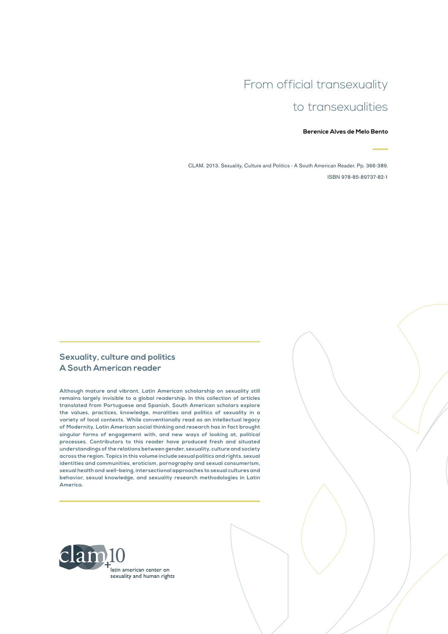# From official transexuality to transexualities

#### **Berenice Alves de Melo Bento**

CLAM. 2013. Sexuality, Culture and Politics - A South American Reader. Pp. 366-389. ISBN 978-85-89737-82-1

#### **Sexuality, culture and politics A South American reader**

**Although mature and vibrant, Latin American scholarship on sexuality still remains largely invisible to a global readership. In this collection of articles translated from Portuguese and Spanish, South American scholars explore the values, practices, knowledge, moralities and politics of sexuality in a variety of local contexts. While conventionally read as an intellectual legacy of Modernity, Latin American social thinking and research has in fact brought singular forms of engagement with, and new ways of looking at, political processes. Contributors to this reader have produced fresh and situated understandings of the relations between gender, sexuality, culture and society across the region. Topics in this volume include sexual politics and rights, sexual identities and communities, eroticism, pornography and sexual consumerism, sexual health and well-being, intersectional approaches to sexual cultures and behavior, sexual knowledge, and sexuality research methodologies in Latin America.**

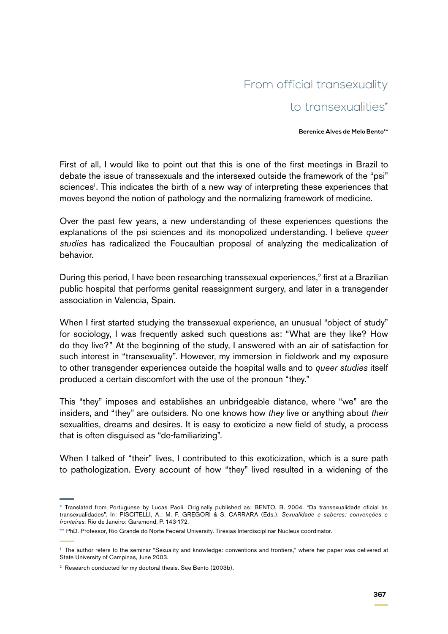# From official transexuality to transexualities\*

#### **Berenice Alves de Melo Bento\*\***

First of all, I would like to point out that this is one of the first meetings in Brazil to debate the issue of transsexuals and the intersexed outside the framework of the "psi" sciences<sup>1</sup>. This indicates the birth of a new way of interpreting these experiences that moves beyond the notion of pathology and the normalizing framework of medicine.

Over the past few years, a new understanding of these experiences questions the explanations of the psi sciences and its monopolized understanding. I believe *queer studies* has radicalized the Foucaultian proposal of analyzing the medicalization of behavior.

During this period, I have been researching transsexual experiences,<sup>2</sup> first at a Brazilian public hospital that performs genital reassignment surgery, and later in a transgender association in Valencia, Spain.

When I first started studying the transsexual experience, an unusual "object of study" for sociology, I was frequently asked such questions as: "What are they like? How do they live?" At the beginning of the study, I answered with an air of satisfaction for such interest in "transexuality". However, my immersion in fieldwork and my exposure to other transgender experiences outside the hospital walls and to *queer studies* itself produced a certain discomfort with the use of the pronoun "they."

This "they" imposes and establishes an unbridgeable distance, where "we" are the insiders, and "they" are outsiders. No one knows how *they* live or anything about *their*  sexualities, dreams and desires. It is easy to exoticize a new field of study, a process that is often disguised as "de-familiarizing".

When I talked of "their" lives, I contributed to this exoticization, which is a sure path to pathologization. Every account of how "they" lived resulted in a widening of the

<sup>\*</sup> Translated from Portuguese by Lucas Paoli. Originally published as: BENTO, B. 2004. "Da transexualidade oficial às transexualidades". In: PISCITELLI, A.; M. F. GREGORI & S. CARRARA (Eds.). *Sexualidade e saberes: convenções e fronteiras.* Rio de Janeiro: Garamond, P. 143-172*.*

<sup>\*\*</sup> PhD. Professor, Rio Grande do Norte Federal University. Tirésias Interdisciplinar Nucleus coordinator.

<sup>1</sup> The author refers to the seminar "Sexuality and knowledge: conventions and frontiers," where her paper was delivered at State University of Campinas, June 2003.

<sup>&</sup>lt;sup>2</sup> Research conducted for my doctoral thesis. See Bento (2003b).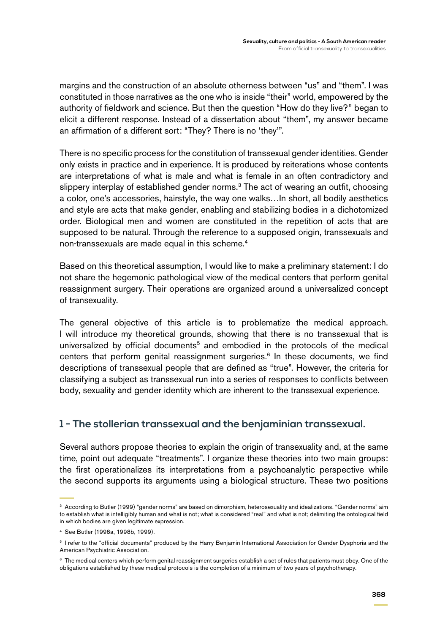margins and the construction of an absolute otherness between "us" and "them". I was constituted in those narratives as the one who is inside "their" world, empowered by the authority of fieldwork and science. But then the question "How do they live?" began to elicit a different response. Instead of a dissertation about "them", my answer became an affirmation of a different sort: "They? There is no 'they'".

There is no specific process for the constitution of transsexual gender identities. Gender only exists in practice and in experience. It is produced by reiterations whose contents are interpretations of what is male and what is female in an often contradictory and slippery interplay of established gender norms.<sup>3</sup> The act of wearing an outfit, choosing a color, one's accessories, hairstyle, the way one walks…In short, all bodily aesthetics and style are acts that make gender, enabling and stabilizing bodies in a dichotomized order. Biological men and women are constituted in the repetition of acts that are supposed to be natural. Through the reference to a supposed origin, transsexuals and non-transsexuals are made equal in this scheme.<sup>4</sup>

Based on this theoretical assumption, I would like to make a preliminary statement: I do not share the hegemonic pathological view of the medical centers that perform genital reassignment surgery. Their operations are organized around a universalized concept of transexuality.

The general objective of this article is to problematize the medical approach. I will introduce my theoretical grounds, showing that there is no transsexual that is universalized by official documents<sup>5</sup> and embodied in the protocols of the medical centers that perform genital reassignment surgeries.<sup>6</sup> In these documents, we find descriptions of transsexual people that are defined as "true". However, the criteria for classifying a subject as transsexual run into a series of responses to conflicts between body, sexuality and gender identity which are inherent to the transsexual experience.

## **1 - The stollerian transsexual and the benjaminian transsexual.**

Several authors propose theories to explain the origin of transexuality and, at the same time, point out adequate "treatments". I organize these theories into two main groups: the first operationalizes its interpretations from a psychoanalytic perspective while the second supports its arguments using a biological structure. These two positions

<sup>3</sup> According to Butler (1999) "gender norms" are based on dimorphism, heterosexuality and idealizations. "Gender norms" aim to establish what is intelligibly human and what is not; what is considered "real" and what is not; delimiting the ontological field in which bodies are given legitimate expression.

<sup>4</sup> See Butler (1998a, 1998b, 1999).

<sup>5</sup> I refer to the "official documents" produced by the Harry Benjamin International Association for Gender Dysphoria and the American Psychiatric Association.

 $6$  The medical centers which perform genital reassignment surgeries establish a set of rules that patients must obey. One of the obligations established by these medical protocols is the completion of a minimum of two years of psychotherapy.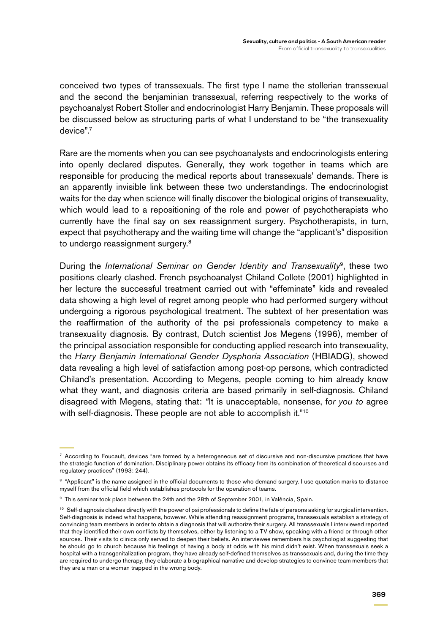conceived two types of transsexuals. The first type I name the stollerian transsexual and the second the benjaminian transsexual, referring respectively to the works of psychoanalyst Robert Stoller and endocrinologist Harry Benjamin. These proposals will be discussed below as structuring parts of what I understand to be "the transexuality device".7

Rare are the moments when you can see psychoanalysts and endocrinologists entering into openly declared disputes. Generally, they work together in teams which are responsible for producing the medical reports about transsexuals' demands. There is an apparently invisible link between these two understandings. The endocrinologist waits for the day when science will finally discover the biological origins of transexuality, which would lead to a repositioning of the role and power of psychotherapists who currently have the final say on sex reassignment surgery. Psychotherapists, in turn, expect that psychotherapy and the waiting time will change the "applicant's" disposition to undergo reassignment surgery.<sup>8</sup>

During the *International Seminar on Gender Identity and Transexuality*9, these two positions clearly clashed. French psychoanalyst Chiland Collete (2001) highlighted in her lecture the successful treatment carried out with "effeminate" kids and revealed data showing a high level of regret among people who had performed surgery without undergoing a rigorous psychological treatment. The subtext of her presentation was the reaffirmation of the authority of the psi professionals competency to make a transexuality diagnosis. By contrast, Dutch scientist Jos Megens (1996), member of the principal association responsible for conducting applied research into transexuality, the *Harry Benjamin International Gender Dysphoria Association* (HBIADG), showed data revealing a high level of satisfaction among post-op persons, which contradicted Chiland's presentation. According to Megens, people coming to him already know what they want, and diagnosis criteria are based primarily in self-diagnosis. Chiland disagreed with Megens, stating that: *"*It is unacceptable, nonsense, f*or you to* agree with self-diagnosis. These people are not able to accomplish it."<sup>10</sup>

 $7$  According to Foucault, devices "are formed by a heterogeneous set of discursive and non-discursive practices that have the strategic function of domination. Disciplinary power obtains its efficacy from its combination of theoretical discourses and regulatory practices" (1993: 244).

<sup>&</sup>lt;sup>8</sup> "Applicant" is the name assigned in the official documents to those who demand surgery. I use quotation marks to distance myself from the official field which establishes protocols for the operation of teams.

<sup>9</sup> This seminar took place between the 24th and the 28th of September 2001, in Valência, Spain.

<sup>&</sup>lt;sup>10</sup> Self-diagnosis clashes directly with the power of psi professionals to define the fate of persons asking for surgical intervention. Self-diagnosis is indeed what happens, however. While attending reassignment programs, transsexuals establish a strategy of convincing team members in order to obtain a diagnosis that will authorize their surgery. All transsexuals I interviewed reported that they identified their own conflicts by themselves, either by listening to a TV show, speaking with a friend or through other sources. Their visits to clinics only served to deepen their beliefs. An interviewee remembers his psychologist suggesting that he should go to church because his feelings of having a body at odds with his mind didn't exist. When transsexuals seek a hospital with a transgenitalization program, they have already self-defined themselves as transsexuals and, during the time they are required to undergo therapy, they elaborate a biographical narrative and develop strategies to convince team members that they are a man or a woman trapped in the wrong body.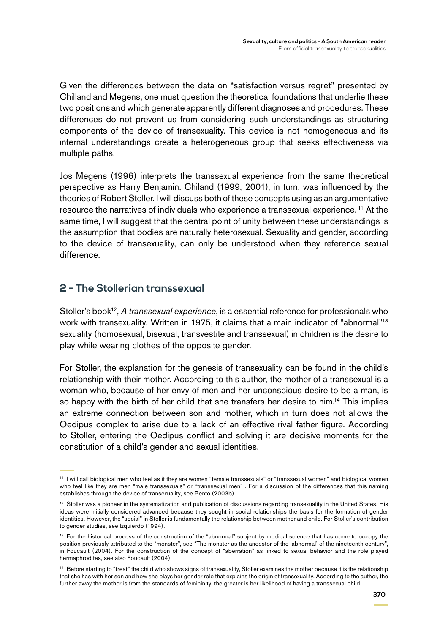Given the differences between the data on "satisfaction versus regret" presented by Chilland and Megens, one must question the theoretical foundations that underlie these two positions and which generate apparently different diagnoses and procedures. These differences do not prevent us from considering such understandings as structuring components of the device of transexuality. This device is not homogeneous and its internal understandings create a heterogeneous group that seeks effectiveness via multiple paths.

Jos Megens (1996) interprets the transsexual experience from the same theoretical perspective as Harry Benjamin. Chiland (1999, 2001), in turn, was influenced by the theories of Robert Stoller. I will discuss both of these concepts using as an argumentative resource the narratives of individuals who experience a transsexual experience. 11 At the same time, I will suggest that the central point of unity between these understandings is the assumption that bodies are naturally heterosexual. Sexuality and gender, according to the device of transexuality, can only be understood when they reference sexual difference.

## **2 - The Stollerian transsexual**

Stoller's book<sup>12</sup>, A transsexual experience, is a essential reference for professionals who work with transexuality. Written in 1975, it claims that a main indicator of "abnormal"<sup>13</sup> sexuality (homosexual, bisexual, transvestite and transsexual) in children is the desire to play while wearing clothes of the opposite gender.

For Stoller, the explanation for the genesis of transexuality can be found in the child's relationship with their mother. According to this author, the mother of a transsexual is a woman who, because of her envy of men and her unconscious desire to be a man, is so happy with the birth of her child that she transfers her desire to him.<sup>14</sup> This implies an extreme connection between son and mother, which in turn does not allows the Oedipus complex to arise due to a lack of an effective rival father figure. According to Stoller, entering the Oedipus conflict and solving it are decisive moments for the constitution of a child's gender and sexual identities.

<sup>11</sup> I will call biological men who feel as if they are women "female transsexuals" or "transsexual women" and biological women who feel like they are men "male transsexuals" or "transsexual men" . For a discussion of the differences that this naming establishes through the device of transexuality, see Bento (2003b).

<sup>&</sup>lt;sup>12</sup> Stoller was a pioneer in the systematization and publication of discussions regarding transexuality in the United States. His ideas were initially considered advanced because they sought in social relationships the basis for the formation of gender identities. However, the "social" in Stoller is fundamentally the relationship between mother and child. For Stoller's contribution to gender studies, see Izquierdo (1994).

<sup>&</sup>lt;sup>13</sup> For the historical process of the construction of the "abnormal" subject by medical science that has come to occupy the position previously attributed to the "monster", see "The monster as the ancestor of the 'abnormal' of the nineteenth century", in Foucault (2004). For the construction of the concept of "aberration" as linked to sexual behavior and the role played hermaphrodites, see also Foucault (2004).

<sup>&</sup>lt;sup>14</sup> Before starting to "treat" the child who shows signs of transexuality, Stoller examines the mother because it is the relationship that she has with her son and how she plays her gender role that explains the origin of transexuality. According to the author, the further away the mother is from the standards of femininity, the greater is her likelihood of having a transsexual child.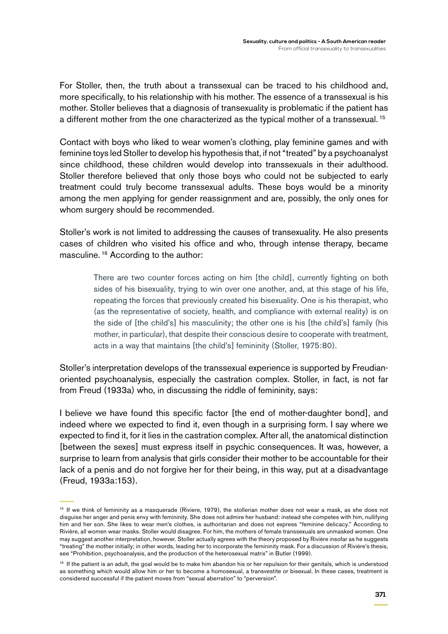For Stoller, then, the truth about a transsexual can be traced to his childhood and, more specifically, to his relationship with his mother. The essence of a transsexual is his mother. Stoller believes that a diagnosis of transexuality is problematic if the patient has a different mother from the one characterized as the typical mother of a transsexual.<sup>15</sup>

Contact with boys who liked to wear women's clothing, play feminine games and with feminine toys led Stoller to develop his hypothesis that, if not "treated" by a psychoanalyst since childhood, these children would develop into transsexuals in their adulthood. Stoller therefore believed that only those boys who could not be subjected to early treatment could truly become transsexual adults. These boys would be a minority among the men applying for gender reassignment and are, possibly, the only ones for whom surgery should be recommended.

Stoller's work is not limited to addressing the causes of transexuality. He also presents cases of children who visited his office and who, through intense therapy, became masculine. 16 According to the author:

> There are two counter forces acting on him [the child], currently fighting on both sides of his bisexuality, trying to win over one another, and, at this stage of his life, repeating the forces that previously created his bisexuality. One is his therapist, who (as the representative of society, health, and compliance with external reality) is on the side of [the child's] his masculinity; the other one is his [the child's] family (his mother, in particular), that despite their conscious desire to cooperate with treatment, acts in a way that maintains [the child's] femininity (Stoller, 1975:80).

Stoller's interpretation develops of the transsexual experience is supported by Freudianoriented psychoanalysis, especially the castration complex. Stoller, in fact, is not far from Freud (1933a) who, in discussing the riddle of femininity, says:

I believe we have found this specific factor [the end of mother-daughter bond], and indeed where we expected to find it, even though in a surprising form. I say where we expected to find it, for it lies in the castration complex. After all, the anatomical distinction [between the sexes] must express itself in psychic consequences. It was, however, a surprise to learn from analysis that girls consider their mother to be accountable for their lack of a penis and do not forgive her for their being, in this way, put at a disadvantage (Freud, 1933a:153).

<sup>15</sup> If we think of femininity as a masquerade (Riviere, 1979), the stollerian mother does not wear a mask, as she does not disguise her anger and penis envy with femininity. She does not admire her husband: instead she competes with him, nullifying him and her son. She likes to wear men's clothes, is authoritarian and does not express "feminine delicacy." According to Rivière, all women wear masks. Stoller would disagree. For him, the mothers of female transsexuals are unmasked women. One may suggest another interpretation, however. Stoller actually agrees with the theory proposed by Rivière insofar as he suggests "treating" the mother initially; in other words, leading her to incorporate the femininity mask. For a discussion of Rivière's thesis, see "Prohibition, psychoanalysis, and the production of the heterosexual matrix" in Butler (1999).

<sup>&</sup>lt;sup>16</sup> If the patient is an adult, the goal would be to make him abandon his or her repulsion for their genitals, which is understood as something which would allow him or her to become a homosexual, a transvestite or bisexual. In these cases, treatment is considered successful if the patient moves from "sexual aberration" to "perversion".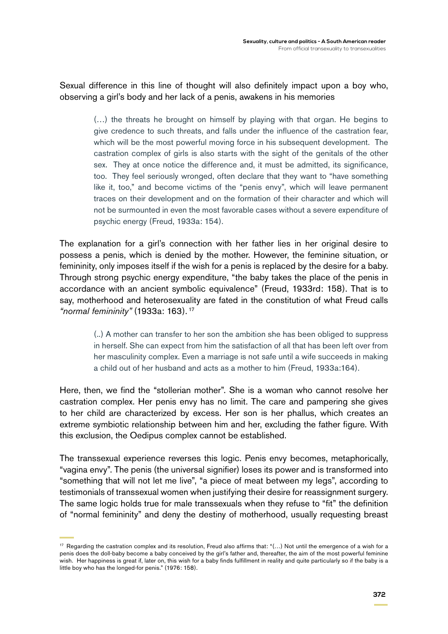Sexual difference in this line of thought will also definitely impact upon a boy who, observing a girl's body and her lack of a penis, awakens in his memories

> (…) the threats he brought on himself by playing with that organ. He begins to give credence to such threats, and falls under the influence of the castration fear, which will be the most powerful moving force in his subsequent development. The castration complex of girls is also starts with the sight of the genitals of the other sex. They at once notice the difference and, it must be admitted, its significance, too. They feel seriously wronged, often declare that they want to "have something like it, too," and become victims of the "penis envy", which will leave permanent traces on their development and on the formation of their character and which will not be surmounted in even the most favorable cases without a severe expenditure of psychic energy (Freud, 1933a: 154).

The explanation for a girl's connection with her father lies in her original desire to possess a penis, which is denied by the mother. However, the feminine situation, or femininity, only imposes itself if the wish for a penis is replaced by the desire for a baby. Through strong psychic energy expenditure, "the baby takes the place of the penis in accordance with an ancient symbolic equivalence" (Freud, 1933rd: 158). That is to say, motherhood and heterosexuality are fated in the constitution of what Freud calls *"normal femininity"* (1933a: 163). 17

> (..) A mother can transfer to her son the ambition she has been obliged to suppress in herself. She can expect from him the satisfaction of all that has been left over from her masculinity complex. Even a marriage is not safe until a wife succeeds in making a child out of her husband and acts as a mother to him (Freud, 1933a:164).

Here, then, we find the "stollerian mother". She is a woman who cannot resolve her castration complex. Her penis envy has no limit. The care and pampering she gives to her child are characterized by excess. Her son is her phallus, which creates an extreme symbiotic relationship between him and her, excluding the father figure. With this exclusion, the Oedipus complex cannot be established.

The transsexual experience reverses this logic. Penis envy becomes, metaphorically, "vagina envy". The penis (the universal signifier) loses its power and is transformed into "something that will not let me live", "a piece of meat between my legs", according to testimonials of transsexual women when justifying their desire for reassignment surgery. The same logic holds true for male transsexuals when they refuse to "fit" the definition of "normal femininity" and deny the destiny of motherhood, usually requesting breast

<sup>17</sup> Regarding the castration complex and its resolution, Freud also affirms that: "(...) Not until the emergence of a wish for a penis does the doll-baby become a baby conceived by the girl's father and, thereafter, the aim of the most powerful feminine wish. Her happiness is great if, later on, this wish for a baby finds fulfillment in reality and quite particularly so if the baby is a little boy who has the longed-for penis." (1976: 158).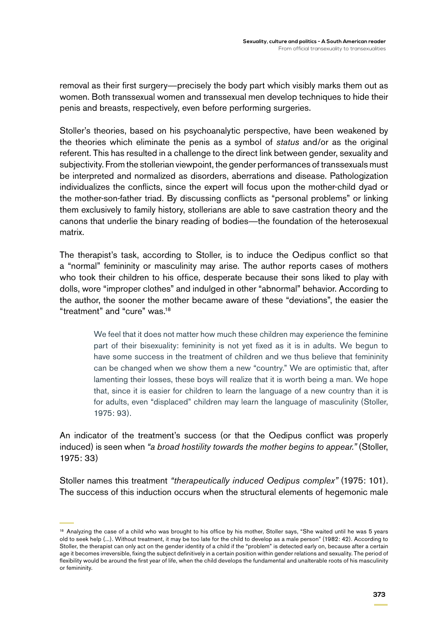removal as their first surgery—precisely the body part which visibly marks them out as women. Both transsexual women and transsexual men develop techniques to hide their penis and breasts, respectively, even before performing surgeries.

Stoller's theories, based on his psychoanalytic perspective, have been weakened by the theories which eliminate the penis as a symbol of *status* and/or as the original referent. This has resulted in a challenge to the direct link between gender, sexuality and subjectivity. From the stollerian viewpoint, the gender performances of transsexuals must be interpreted and normalized as disorders, aberrations and disease. Pathologization individualizes the conflicts, since the expert will focus upon the mother-child dyad or the mother-son-father triad. By discussing conflicts as "personal problems" or linking them exclusively to family history, stollerians are able to save castration theory and the canons that underlie the binary reading of bodies—the foundation of the heterosexual matrix.

The therapist's task, according to Stoller, is to induce the Oedipus conflict so that a "normal" femininity or masculinity may arise. The author reports cases of mothers who took their children to his office, desperate because their sons liked to play with dolls, wore "improper clothes" and indulged in other "abnormal" behavior. According to the author, the sooner the mother became aware of these "deviations", the easier the "treatment" and "cure" was.18

> We feel that it does not matter how much these children may experience the feminine part of their bisexuality: femininity is not yet fixed as it is in adults. We begun to have some success in the treatment of children and we thus believe that femininity can be changed when we show them a new "country." We are optimistic that, after lamenting their losses, these boys will realize that it is worth being a man. We hope that, since it is easier for children to learn the language of a new country than it is for adults, even "displaced" children may learn the language of masculinity (Stoller, 1975: 93).

An indicator of the treatment's success (or that the Oedipus conflict was properly induced) is seen when *"a broad hostility towards the mother begins to appear."* (Stoller, 1975: 33)

Stoller names this treatment *"therapeutically induced Oedipus complex"* (1975: 101). The success of this induction occurs when the structural elements of hegemonic male

<sup>&</sup>lt;sup>18</sup> Analyzing the case of a child who was brought to his office by his mother, Stoller says, "She waited until he was 5 years old to seek help (...). Without treatment, it may be too late for the child to develop as a male person" (1982: 42). According to Stoller, the therapist can only act on the gender identity of a child if the "problem" is detected early on, because after a certain age it becomes irreversible, fixing the subject definitively in a certain position within gender relations and sexuality. The period of flexibility would be around the first year of life, when the child develops the fundamental and unalterable roots of his masculinity or femininity.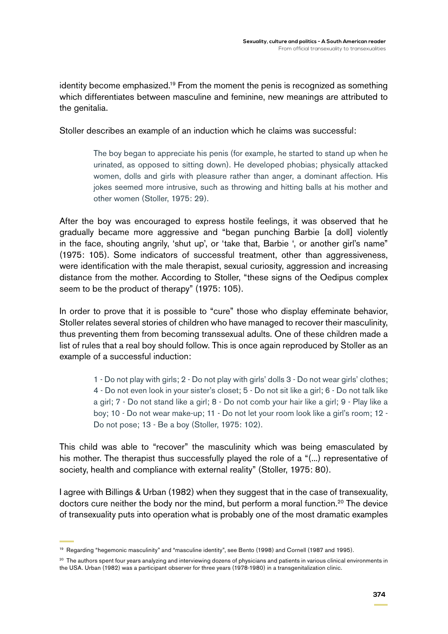identity become emphasized.<sup>19</sup> From the moment the penis is recognized as something which differentiates between masculine and feminine, new meanings are attributed to the genitalia.

Stoller describes an example of an induction which he claims was successful:

The boy began to appreciate his penis (for example, he started to stand up when he urinated, as opposed to sitting down). He developed phobias; physically attacked women, dolls and girls with pleasure rather than anger, a dominant affection. His jokes seemed more intrusive, such as throwing and hitting balls at his mother and other women (Stoller, 1975: 29).

After the boy was encouraged to express hostile feelings, it was observed that he gradually became more aggressive and "began punching Barbie [a doll] violently in the face, shouting angrily, 'shut up', or 'take that, Barbie ', or another girl's name" (1975: 105). Some indicators of successful treatment, other than aggressiveness, were identification with the male therapist, sexual curiosity, aggression and increasing distance from the mother. According to Stoller, "these signs of the Oedipus complex seem to be the product of therapy" (1975: 105).

In order to prove that it is possible to "cure" those who display effeminate behavior, Stoller relates several stories of children who have managed to recover their masculinity, thus preventing them from becoming transsexual adults. One of these children made a list of rules that a real boy should follow. This is once again reproduced by Stoller as an example of a successful induction:

> 1 - Do not play with girls; 2 - Do not play with girls' dolls 3 - Do not wear girls' clothes; 4 - Do not even look in your sister's closet; 5 - Do not sit like a girl; 6 - Do not talk like a girl; 7 - Do not stand like a girl; 8 - Do not comb your hair like a girl; 9 - Play like a boy; 10 - Do not wear make-up; 11 - Do not let your room look like a girl's room; 12 - Do not pose; 13 - Be a boy (Stoller, 1975: 102).

This child was able to "recover" the masculinity which was being emasculated by his mother. The therapist thus successfully played the role of a "(...) representative of society, health and compliance with external reality" (Stoller, 1975: 80).

I agree with Billings & Urban (1982) when they suggest that in the case of transexuality, doctors cure neither the body nor the mind, but perform a moral function.<sup>20</sup> The device of transexuality puts into operation what is probably one of the most dramatic examples

<sup>19</sup> Regarding "hegemonic masculinity" and "masculine identity", see Bento (1998) and Cornell (1987 and 1995).

<sup>&</sup>lt;sup>20</sup> The authors spent four years analyzing and interviewing dozens of physicians and patients in various clinical environments in the USA. Urban (1982) was a participant observer for three years (1978-1980) in a transgenitalization clinic.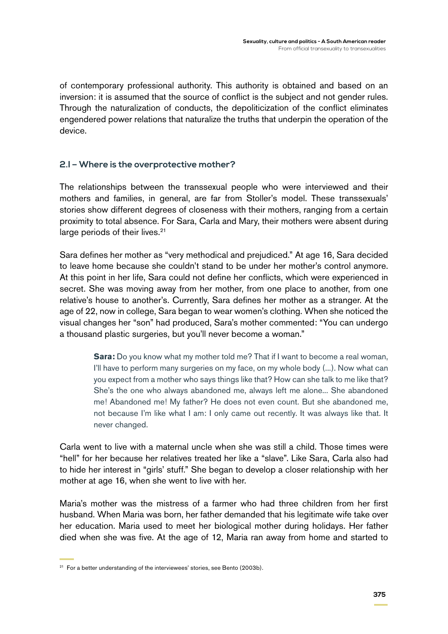of contemporary professional authority. This authority is obtained and based on an inversion: it is assumed that the source of conflict is the subject and not gender rules. Through the naturalization of conducts, the depoliticization of the conflict eliminates engendered power relations that naturalize the truths that underpin the operation of the device.

#### **2.I – Where is the overprotective mother?**

The relationships between the transsexual people who were interviewed and their mothers and families, in general, are far from Stoller's model. These transsexuals' stories show different degrees of closeness with their mothers, ranging from a certain proximity to total absence. For Sara, Carla and Mary, their mothers were absent during large periods of their lives.<sup>21</sup>

Sara defines her mother as "very methodical and prejudiced." At age 16, Sara decided to leave home because she couldn't stand to be under her mother's control anymore. At this point in her life, Sara could not define her conflicts, which were experienced in secret. She was moving away from her mother, from one place to another, from one relative's house to another's. Currently, Sara defines her mother as a stranger. At the age of 22, now in college, Sara began to wear women's clothing. When she noticed the visual changes her "son" had produced, Sara's mother commented: "You can undergo a thousand plastic surgeries, but you'll never become a woman."

> **Sara:** Do you know what my mother told me? That if I want to become a real woman, I'll have to perform many surgeries on my face, on my whole body (...). Now what can you expect from a mother who says things like that? How can she talk to me like that? She's the one who always abandoned me, always left me alone... She abandoned me! Abandoned me! My father? He does not even count. But she abandoned me, not because I'm like what I am: I only came out recently. It was always like that. It never changed.

Carla went to live with a maternal uncle when she was still a child. Those times were "hell" for her because her relatives treated her like a "slave". Like Sara, Carla also had to hide her interest in "girls' stuff." She began to develop a closer relationship with her mother at age 16, when she went to live with her.

Maria's mother was the mistress of a farmer who had three children from her first husband. When Maria was born, her father demanded that his legitimate wife take over her education. Maria used to meet her biological mother during holidays. Her father died when she was five. At the age of 12, Maria ran away from home and started to

 $21$  For a better understanding of the interviewees' stories, see Bento (2003b).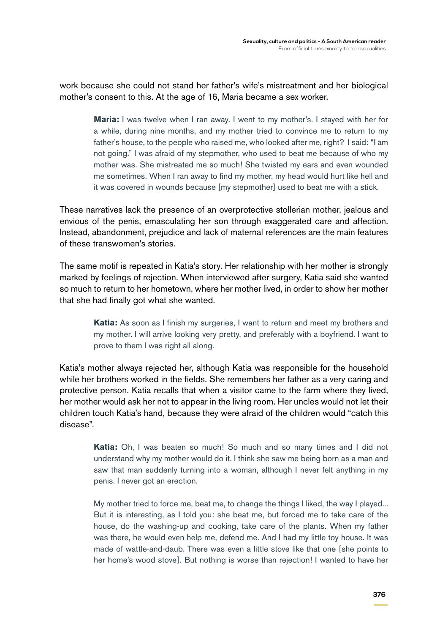work because she could not stand her father's wife's mistreatment and her biological mother's consent to this. At the age of 16, Maria became a sex worker.

> **Maria:** I was twelve when I ran away. I went to my mother's. I stayed with her for a while, during nine months, and my mother tried to convince me to return to my father's house, to the people who raised me, who looked after me, right? I said: "I am not going." I was afraid of my stepmother, who used to beat me because of who my mother was. She mistreated me so much! She twisted my ears and even wounded me sometimes. When I ran away to find my mother, my head would hurt like hell and it was covered in wounds because [my stepmother] used to beat me with a stick.

These narratives lack the presence of an overprotective stollerian mother, jealous and envious of the penis, emasculating her son through exaggerated care and affection. Instead, abandonment, prejudice and lack of maternal references are the main features of these transwomen's stories.

The same motif is repeated in Katia's story. Her relationship with her mother is strongly marked by feelings of rejection. When interviewed after surgery, Katia said she wanted so much to return to her hometown, where her mother lived, in order to show her mother that she had finally got what she wanted.

> **Katia:** As soon as I finish my surgeries, I want to return and meet my brothers and my mother. I will arrive looking very pretty, and preferably with a boyfriend. I want to prove to them I was right all along.

Katia's mother always rejected her, although Katia was responsible for the household while her brothers worked in the fields. She remembers her father as a very caring and protective person. Katia recalls that when a visitor came to the farm where they lived, her mother would ask her not to appear in the living room. Her uncles would not let their children touch Katia's hand, because they were afraid of the children would "catch this disease".

> **Katia:** Oh, I was beaten so much! So much and so many times and I did not understand why my mother would do it. I think she saw me being born as a man and saw that man suddenly turning into a woman, although I never felt anything in my penis. I never got an erection.

> My mother tried to force me, beat me, to change the things I liked, the way I played... But it is interesting, as I told you: she beat me, but forced me to take care of the house, do the washing-up and cooking, take care of the plants. When my father was there, he would even help me, defend me. And I had my little toy house. It was made of wattle-and-daub. There was even a little stove like that one [she points to her home's wood stove]. But nothing is worse than rejection! I wanted to have her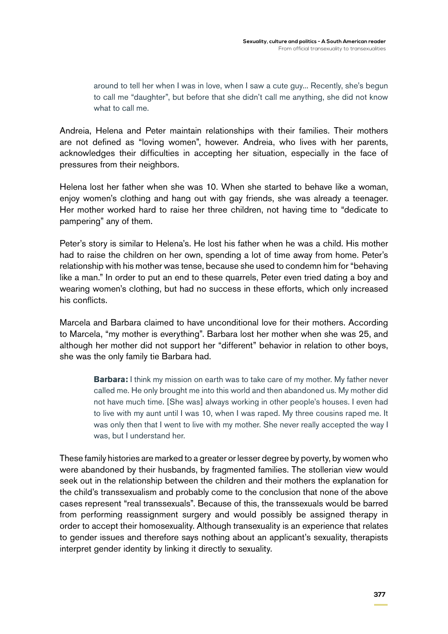around to tell her when I was in love, when I saw a cute guy... Recently, she's begun to call me "daughter", but before that she didn't call me anything, she did not know what to call me.

Andreia, Helena and Peter maintain relationships with their families. Their mothers are not defined as "loving women", however. Andreia, who lives with her parents, acknowledges their difficulties in accepting her situation, especially in the face of pressures from their neighbors.

Helena lost her father when she was 10. When she started to behave like a woman, enjoy women's clothing and hang out with gay friends, she was already a teenager. Her mother worked hard to raise her three children, not having time to "dedicate to pampering" any of them.

Peter's story is similar to Helena's. He lost his father when he was a child. His mother had to raise the children on her own, spending a lot of time away from home. Peter's relationship with his mother was tense, because she used to condemn him for "behaving like a man." In order to put an end to these quarrels, Peter even tried dating a boy and wearing women's clothing, but had no success in these efforts, which only increased his conflicts.

Marcela and Barbara claimed to have unconditional love for their mothers. According to Marcela, "my mother is everything". Barbara lost her mother when she was 25, and although her mother did not support her "different" behavior in relation to other boys, she was the only family tie Barbara had.

> **Barbara:** I think my mission on earth was to take care of my mother. My father never called me. He only brought me into this world and then abandoned us. My mother did not have much time. [She was] always working in other people's houses. I even had to live with my aunt until I was 10, when I was raped. My three cousins raped me. It was only then that I went to live with my mother. She never really accepted the way I was, but I understand her.

These family histories are marked to a greater or lesser degree by poverty, by women who were abandoned by their husbands, by fragmented families. The stollerian view would seek out in the relationship between the children and their mothers the explanation for the child's transsexualism and probably come to the conclusion that none of the above cases represent "real transsexuals". Because of this, the transsexuals would be barred from performing reassignment surgery and would possibly be assigned therapy in order to accept their homosexuality. Although transexuality is an experience that relates to gender issues and therefore says nothing about an applicant's sexuality, therapists interpret gender identity by linking it directly to sexuality.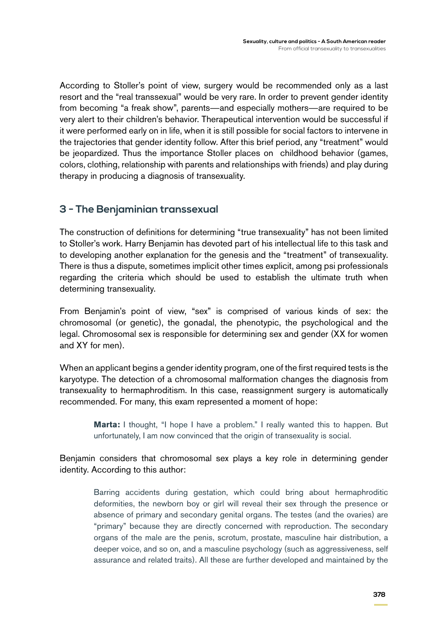According to Stoller's point of view, surgery would be recommended only as a last resort and the "real transsexual" would be very rare. In order to prevent gender identity from becoming "a freak show", parents—and especially mothers—are required to be very alert to their children's behavior. Therapeutical intervention would be successful if it were performed early on in life, when it is still possible for social factors to intervene in the trajectories that gender identity follow. After this brief period, any "treatment" would be jeopardized. Thus the importance Stoller places on childhood behavior (games, colors, clothing, relationship with parents and relationships with friends) and play during therapy in producing a diagnosis of transexuality.

## **3 - The Benjaminian transsexual**

The construction of definitions for determining "true transexuality" has not been limited to Stoller's work. Harry Benjamin has devoted part of his intellectual life to this task and to developing another explanation for the genesis and the "treatment" of transexuality. There is thus a dispute, sometimes implicit other times explicit, among psi professionals regarding the criteria which should be used to establish the ultimate truth when determining transexuality.

From Benjamin's point of view, "sex" is comprised of various kinds of sex: the chromosomal (or genetic), the gonadal, the phenotypic, the psychological and the legal. Chromosomal sex is responsible for determining sex and gender (XX for women and XY for men).

When an applicant begins a gender identity program, one of the first required tests is the karyotype. The detection of a chromosomal malformation changes the diagnosis from transexuality to hermaphroditism. In this case, reassignment surgery is automatically recommended. For many, this exam represented a moment of hope:

**Marta:** I thought, "I hope I have a problem." I really wanted this to happen. But unfortunately, I am now convinced that the origin of transexuality is social.

Benjamin considers that chromosomal sex plays a key role in determining gender identity. According to this author:

> Barring accidents during gestation, which could bring about hermaphroditic deformities, the newborn boy or girl will reveal their sex through the presence or absence of primary and secondary genital organs. The testes (and the ovaries) are "primary" because they are directly concerned with reproduction. The secondary organs of the male are the penis, scrotum, prostate, masculine hair distribution, a deeper voice, and so on, and a masculine psychology (such as aggressiveness, self assurance and related traits). All these are further developed and maintained by the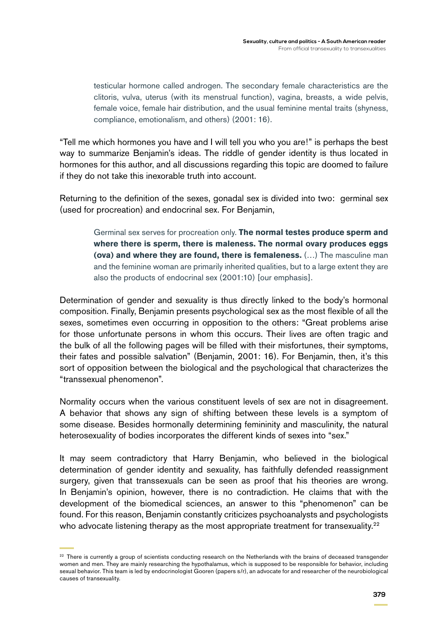testicular hormone called androgen. The secondary female characteristics are the clitoris, vulva, uterus (with its menstrual function), vagina, breasts, a wide pelvis, female voice, female hair distribution, and the usual feminine mental traits (shyness, compliance, emotionalism, and others) (2001: 16).

"Tell me which hormones you have and I will tell you who you are!" is perhaps the best way to summarize Benjamin's ideas. The riddle of gender identity is thus located in hormones for this author, and all discussions regarding this topic are doomed to failure if they do not take this inexorable truth into account.

Returning to the definition of the sexes, gonadal sex is divided into two: germinal sex (used for procreation) and endocrinal sex. For Benjamin,

> Germinal sex serves for procreation only. **The normal testes produce sperm and where there is sperm, there is maleness. The normal ovary produces eggs (ova) and where they are found, there is femaleness.** (…) The masculine man and the feminine woman are primarily inherited qualities, but to a large extent they are also the products of endocrinal sex (2001:10) [our emphasis].

Determination of gender and sexuality is thus directly linked to the body's hormonal composition. Finally, Benjamin presents psychological sex as the most flexible of all the sexes, sometimes even occurring in opposition to the others: "Great problems arise for those unfortunate persons in whom this occurs. Their lives are often tragic and the bulk of all the following pages will be filled with their misfortunes, their symptoms, their fates and possible salvation" (Benjamin, 2001: 16). For Benjamin, then, it's this sort of opposition between the biological and the psychological that characterizes the "transsexual phenomenon".

Normality occurs when the various constituent levels of sex are not in disagreement. A behavior that shows any sign of shifting between these levels is a symptom of some disease. Besides hormonally determining femininity and masculinity, the natural heterosexuality of bodies incorporates the different kinds of sexes into "sex."

It may seem contradictory that Harry Benjamin, who believed in the biological determination of gender identity and sexuality, has faithfully defended reassignment surgery, given that transsexuals can be seen as proof that his theories are wrong. In Benjamin's opinion, however, there is no contradiction. He claims that with the development of the biomedical sciences, an answer to this "phenomenon" can be found. For this reason, Benjamin constantly criticizes psychoanalysts and psychologists who advocate listening therapy as the most appropriate treatment for transexuality.<sup>22</sup>

 $22$  There is currently a group of scientists conducting research on the Netherlands with the brains of deceased transgender women and men. They are mainly researching the hypothalamus, which is supposed to be responsible for behavior, including sexual behavior. This team is led by endocrinologist Gooren (papers s/r), an advocate for and researcher of the neurobiological causes of transexuality.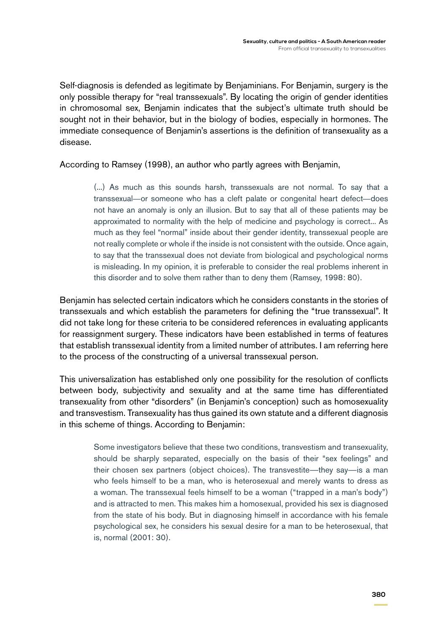Self-diagnosis is defended as legitimate by Benjaminians. For Benjamin, surgery is the only possible therapy for "real transsexuals". By locating the origin of gender identities in chromosomal sex, Benjamin indicates that the subject's ultimate truth should be sought not in their behavior, but in the biology of bodies, especially in hormones. The immediate consequence of Benjamin's assertions is the definition of transexuality as a disease.

According to Ramsey (1998), an author who partly agrees with Benjamin,

(...) As much as this sounds harsh, transsexuals are not normal. To say that a transsexual—or someone who has a cleft palate or congenital heart defect—does not have an anomaly is only an illusion. But to say that all of these patients may be approximated to normality with the help of medicine and psychology is correct... As much as they feel "normal" inside about their gender identity, transsexual people are not really complete or whole if the inside is not consistent with the outside. Once again, to say that the transsexual does not deviate from biological and psychological norms is misleading. In my opinion, it is preferable to consider the real problems inherent in this disorder and to solve them rather than to deny them (Ramsey, 1998: 80).

Benjamin has selected certain indicators which he considers constants in the stories of transsexuals and which establish the parameters for defining the "true transsexual". It did not take long for these criteria to be considered references in evaluating applicants for reassignment surgery. These indicators have been established in terms of features that establish transsexual identity from a limited number of attributes. I am referring here to the process of the constructing of a universal transsexual person.

This universalization has established only one possibility for the resolution of conflicts between body, subjectivity and sexuality and at the same time has differentiated transexuality from other "disorders" (in Benjamin's conception) such as homosexuality and transvestism. Transexuality has thus gained its own statute and a different diagnosis in this scheme of things. According to Benjamin:

> Some investigators believe that these two conditions, transvestism and transexuality, should be sharply separated, especially on the basis of their "sex feelings" and their chosen sex partners (object choices). The transvestite—they say—is a man who feels himself to be a man, who is heterosexual and merely wants to dress as a woman. The transsexual feels himself to be a woman ("trapped in a man's body") and is attracted to men. This makes him a homosexual, provided his sex is diagnosed from the state of his body. But in diagnosing himself in accordance with his female psychological sex, he considers his sexual desire for a man to be heterosexual, that is, normal (2001: 30).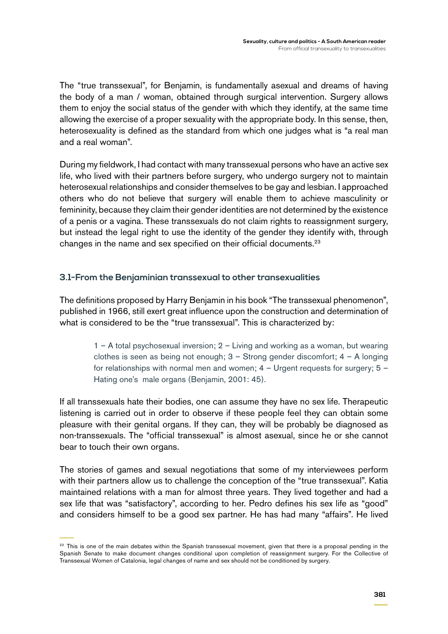The "true transsexual", for Benjamin, is fundamentally asexual and dreams of having the body of a man / woman, obtained through surgical intervention. Surgery allows them to enjoy the social status of the gender with which they identify, at the same time allowing the exercise of a proper sexuality with the appropriate body. In this sense, then, heterosexuality is defined as the standard from which one judges what is "a real man and a real woman".

During my fieldwork, I had contact with many transsexual persons who have an active sex life, who lived with their partners before surgery, who undergo surgery not to maintain heterosexual relationships and consider themselves to be gay and lesbian. I approached others who do not believe that surgery will enable them to achieve masculinity or femininity, because they claim their gender identities are not determined by the existence of a penis or a vagina. These transsexuals do not claim rights to reassignment surgery, but instead the legal right to use the identity of the gender they identify with, through changes in the name and sex specified on their official documents.<sup>23</sup>

### **3.1-From the Benjaminian transsexual to other transexualities**

The definitions proposed by Harry Benjamin in his book "The transsexual phenomenon", published in 1966, still exert great influence upon the construction and determination of what is considered to be the "true transsexual". This is characterized by:

> 1 – A total psychosexual inversion; 2 – Living and working as a woman, but wearing clothes is seen as being not enough;  $3 -$  Strong gender discomfort;  $4 - A$  longing for relationships with normal men and women;  $4 -$  Urgent requests for surgery;  $5 -$ Hating one's male organs (Benjamin, 2001: 45).

If all transsexuals hate their bodies, one can assume they have no sex life. Therapeutic listening is carried out in order to observe if these people feel they can obtain some pleasure with their genital organs. If they can, they will be probably be diagnosed as non-transsexuals. The "official transsexual" is almost asexual, since he or she cannot bear to touch their own organs.

The stories of games and sexual negotiations that some of my interviewees perform with their partners allow us to challenge the conception of the "true transsexual". Katia maintained relations with a man for almost three years. They lived together and had a sex life that was "satisfactory", according to her. Pedro defines his sex life as "good" and considers himself to be a good sex partner. He has had many "affairs". He lived

<sup>&</sup>lt;sup>23</sup> This is one of the main debates within the Spanish transsexual movement, given that there is a proposal pending in the Spanish Senate to make document changes conditional upon completion of reassignment surgery. For the Collective of Transsexual Women of Catalonia, legal changes of name and sex should not be conditioned by surgery.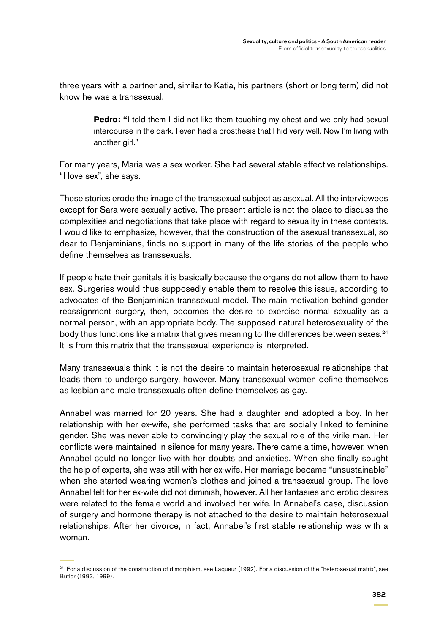three years with a partner and, similar to Katia, his partners (short or long term) did not know he was a transsexual.

> **Pedro:** "I told them I did not like them touching my chest and we only had sexual intercourse in the dark. I even had a prosthesis that I hid very well. Now I'm living with another girl."

For many years, Maria was a sex worker. She had several stable affective relationships. "I love sex", she says.

These stories erode the image of the transsexual subject as asexual. All the interviewees except for Sara were sexually active. The present article is not the place to discuss the complexities and negotiations that take place with regard to sexuality in these contexts. I would like to emphasize, however, that the construction of the asexual transsexual, so dear to Benjaminians, finds no support in many of the life stories of the people who define themselves as transsexuals.

If people hate their genitals it is basically because the organs do not allow them to have sex. Surgeries would thus supposedly enable them to resolve this issue, according to advocates of the Benjaminian transsexual model. The main motivation behind gender reassignment surgery, then, becomes the desire to exercise normal sexuality as a normal person, with an appropriate body. The supposed natural heterosexuality of the body thus functions like a matrix that gives meaning to the differences between sexes.<sup>24</sup> It is from this matrix that the transsexual experience is interpreted.

Many transsexuals think it is not the desire to maintain heterosexual relationships that leads them to undergo surgery, however. Many transsexual women define themselves as lesbian and male transsexuals often define themselves as gay.

Annabel was married for 20 years. She had a daughter and adopted a boy. In her relationship with her ex-wife, she performed tasks that are socially linked to feminine gender. She was never able to convincingly play the sexual role of the virile man. Her conflicts were maintained in silence for many years. There came a time, however, when Annabel could no longer live with her doubts and anxieties. When she finally sought the help of experts, she was still with her ex-wife. Her marriage became "unsustainable" when she started wearing women's clothes and joined a transsexual group. The love Annabel felt for her ex-wife did not diminish, however. All her fantasies and erotic desires were related to the female world and involved her wife. In Annabel's case, discussion of surgery and hormone therapy is not attached to the desire to maintain heterosexual relationships. After her divorce, in fact, Annabel's first stable relationship was with a woman.

<sup>&</sup>lt;sup>24</sup> For a discussion of the construction of dimorphism, see Laqueur (1992). For a discussion of the "heterosexual matrix", see Butler (1993, 1999).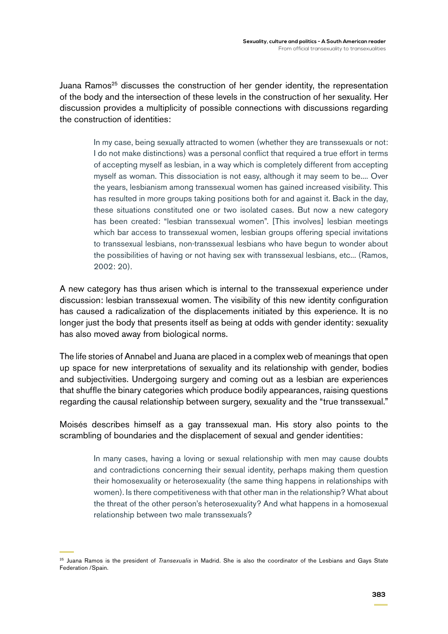Juana Ramos<sup>25</sup> discusses the construction of her gender identity, the representation of the body and the intersection of these levels in the construction of her sexuality. Her discussion provides a multiplicity of possible connections with discussions regarding the construction of identities:

> In my case, being sexually attracted to women (whether they are transsexuals or not: I do not make distinctions) was a personal conflict that required a true effort in terms of accepting myself as lesbian, in a way which is completely different from accepting myself as woman. This dissociation is not easy, although it may seem to be.... Over the years, lesbianism among transsexual women has gained increased visibility. This has resulted in more groups taking positions both for and against it. Back in the day, these situations constituted one or two isolated cases. But now a new category has been created: "lesbian transsexual women". [This involves] lesbian meetings which bar access to transsexual women, lesbian groups offering special invitations to transsexual lesbians, non-transsexual lesbians who have begun to wonder about the possibilities of having or not having sex with transsexual lesbians, etc... (Ramos, 2002: 20).

A new category has thus arisen which is internal to the transsexual experience under discussion: lesbian transsexual women. The visibility of this new identity configuration has caused a radicalization of the displacements initiated by this experience. It is no longer just the body that presents itself as being at odds with gender identity: sexuality has also moved away from biological norms.

The life stories of Annabel and Juana are placed in a complex web of meanings that open up space for new interpretations of sexuality and its relationship with gender, bodies and subjectivities. Undergoing surgery and coming out as a lesbian are experiences that shuffle the binary categories which produce bodily appearances, raising questions regarding the causal relationship between surgery, sexuality and the "true transsexual."

Moisés describes himself as a gay transsexual man. His story also points to the scrambling of boundaries and the displacement of sexual and gender identities:

> In many cases, having a loving or sexual relationship with men may cause doubts and contradictions concerning their sexual identity, perhaps making them question their homosexuality or heterosexuality (the same thing happens in relationships with women). Is there competitiveness with that other man in the relationship? What about the threat of the other person's heterosexuality? And what happens in a homosexual relationship between two male transsexuals?

<sup>25</sup> Juana Ramos is the president of *Transexualis* in Madrid. She is also the coordinator of the Lesbians and Gays State Federation /Spain.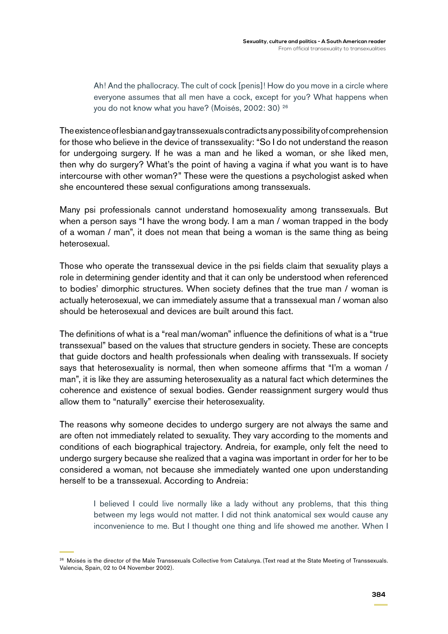Ah! And the phallocracy. The cult of cock [penis]! How do you move in a circle where everyone assumes that all men have a cock, except for you? What happens when you do not know what you have? (Moisés, 2002: 30) 26

The existence of lesbian and gay transsexuals contradicts any possibility of comprehension for those who believe in the device of transsexuality: "So I do not understand the reason for undergoing surgery. If he was a man and he liked a woman, or she liked men, then why do surgery? What's the point of having a vagina if what you want is to have intercourse with other woman?" These were the questions a psychologist asked when she encountered these sexual configurations among transsexuals.

Many psi professionals cannot understand homosexuality among transsexuals. But when a person says "I have the wrong body. I am a man / woman trapped in the body of a woman / man", it does not mean that being a woman is the same thing as being heterosexual.

Those who operate the transsexual device in the psi fields claim that sexuality plays a role in determining gender identity and that it can only be understood when referenced to bodies' dimorphic structures. When society defines that the true man / woman is actually heterosexual, we can immediately assume that a transsexual man / woman also should be heterosexual and devices are built around this fact.

The definitions of what is a "real man/woman" influence the definitions of what is a "true transsexual" based on the values that structure genders in society. These are concepts that guide doctors and health professionals when dealing with transsexuals. If society says that heterosexuality is normal, then when someone affirms that "I'm a woman / man", it is like they are assuming heterosexuality as a natural fact which determines the coherence and existence of sexual bodies. Gender reassignment surgery would thus allow them to "naturally" exercise their heterosexuality.

The reasons why someone decides to undergo surgery are not always the same and are often not immediately related to sexuality. They vary according to the moments and conditions of each biographical trajectory. Andreia, for example, only felt the need to undergo surgery because she realized that a vagina was important in order for her to be considered a woman, not because she immediately wanted one upon understanding herself to be a transsexual. According to Andreia:

> I believed I could live normally like a lady without any problems, that this thing between my legs would not matter. I did not think anatomical sex would cause any inconvenience to me. But I thought one thing and life showed me another. When I

<sup>&</sup>lt;sup>26</sup> Moisés is the director of the Male Transsexuals Collective from Catalunya. (Text read at the State Meeting of Transsexuals. Valencia, Spain, 02 to 04 November 2002).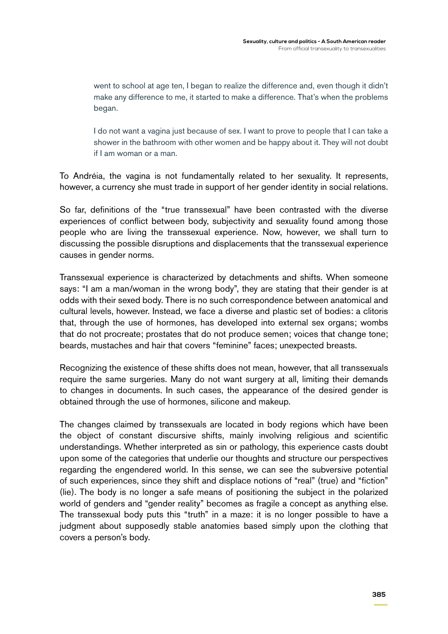went to school at age ten, I began to realize the difference and, even though it didn't make any difference to me, it started to make a difference. That's when the problems began.

I do not want a vagina just because of sex. I want to prove to people that I can take a shower in the bathroom with other women and be happy about it. They will not doubt if I am woman or a man.

To Andréia, the vagina is not fundamentally related to her sexuality. It represents, however, a currency she must trade in support of her gender identity in social relations.

So far, definitions of the "true transsexual" have been contrasted with the diverse experiences of conflict between body, subjectivity and sexuality found among those people who are living the transsexual experience. Now, however, we shall turn to discussing the possible disruptions and displacements that the transsexual experience causes in gender norms.

Transsexual experience is characterized by detachments and shifts. When someone says: "I am a man/woman in the wrong body", they are stating that their gender is at odds with their sexed body. There is no such correspondence between anatomical and cultural levels, however. Instead, we face a diverse and plastic set of bodies: a clitoris that, through the use of hormones, has developed into external sex organs; wombs that do not procreate; prostates that do not produce semen; voices that change tone; beards, mustaches and hair that covers "feminine" faces; unexpected breasts.

Recognizing the existence of these shifts does not mean, however, that all transsexuals require the same surgeries. Many do not want surgery at all, limiting their demands to changes in documents. In such cases, the appearance of the desired gender is obtained through the use of hormones, silicone and makeup.

The changes claimed by transsexuals are located in body regions which have been the object of constant discursive shifts, mainly involving religious and scientific understandings. Whether interpreted as sin or pathology, this experience casts doubt upon some of the categories that underlie our thoughts and structure our perspectives regarding the engendered world. In this sense, we can see the subversive potential of such experiences, since they shift and displace notions of "real" (true) and "fiction" (lie). The body is no longer a safe means of positioning the subject in the polarized world of genders and "gender reality" becomes as fragile a concept as anything else. The transsexual body puts this "truth" in a maze: it is no longer possible to have a judgment about supposedly stable anatomies based simply upon the clothing that covers a person's body.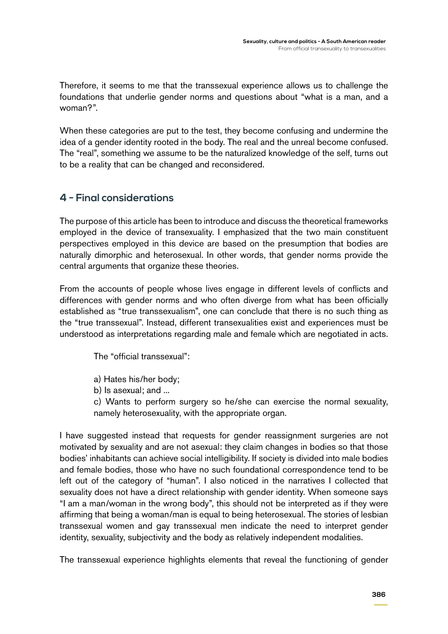Therefore, it seems to me that the transsexual experience allows us to challenge the foundations that underlie gender norms and questions about "what is a man, and a woman?".

When these categories are put to the test, they become confusing and undermine the idea of a gender identity rooted in the body. The real and the unreal become confused. The "real", something we assume to be the naturalized knowledge of the self, turns out to be a reality that can be changed and reconsidered.

# **4 - Final considerations**

The purpose of this article has been to introduce and discuss the theoretical frameworks employed in the device of transexuality. I emphasized that the two main constituent perspectives employed in this device are based on the presumption that bodies are naturally dimorphic and heterosexual. In other words, that gender norms provide the central arguments that organize these theories.

From the accounts of people whose lives engage in different levels of conflicts and differences with gender norms and who often diverge from what has been officially established as "true transsexualism", one can conclude that there is no such thing as the "true transsexual". Instead, different transexualities exist and experiences must be understood as interpretations regarding male and female which are negotiated in acts.

The "official transsexual":

- a) Hates his/her body;
- b) Is asexual; and ...

c) Wants to perform surgery so he/she can exercise the normal sexuality, namely heterosexuality, with the appropriate organ.

I have suggested instead that requests for gender reassignment surgeries are not motivated by sexuality and are not asexual: they claim changes in bodies so that those bodies' inhabitants can achieve social intelligibility. If society is divided into male bodies and female bodies, those who have no such foundational correspondence tend to be left out of the category of "human". I also noticed in the narratives I collected that sexuality does not have a direct relationship with gender identity. When someone says "I am a man/woman in the wrong body", this should not be interpreted as if they were affirming that being a woman/man is equal to being heterosexual. The stories of lesbian transsexual women and gay transsexual men indicate the need to interpret gender identity, sexuality, subjectivity and the body as relatively independent modalities.

The transsexual experience highlights elements that reveal the functioning of gender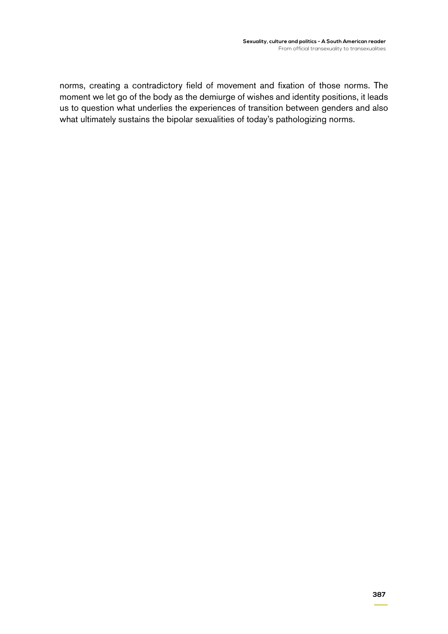norms, creating a contradictory field of movement and fixation of those norms. The moment we let go of the body as the demiurge of wishes and identity positions, it leads us to question what underlies the experiences of transition between genders and also what ultimately sustains the bipolar sexualities of today's pathologizing norms.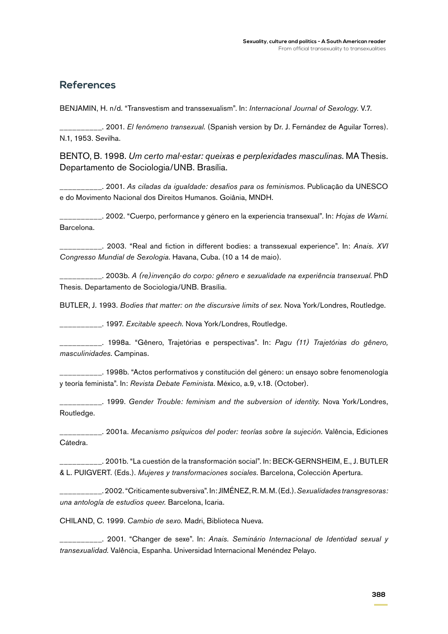### **References**

BENJAMIN, H. n/d. "Transvestism and transsexualism". In: *Internacional Journal of Sexology.* V.7.

\_\_\_\_\_\_\_\_\_\_. 2001. *El fenómeno transexual.* (Spanish version by Dr. J. Fernández de Aguilar Torres). N.1, 1953. Sevilha.

BENTO, B. 1998. *Um certo mal-estar: queixas e perplexidades masculinas.* MA Thesis. Departamento de Sociologia/UNB. Brasília.

\_\_\_\_\_\_\_\_\_\_. 2001. *As ciladas da igualdade: desafios para os feminismos*. Publicação da UNESCO e do Movimento Nacional dos Direitos Humanos. Goiânia, MNDH.

\_\_\_\_\_\_\_\_\_\_. 2002. "Cuerpo, performance y género en la experiencia transexual". In: *Hojas de Warni.* Barcelona.

\_\_\_\_\_\_\_\_\_\_. 2003. "Real and fiction in different bodies: a transsexual experience". In: *Anais. XVI Congresso Mundial de Sexologia*. Havana, Cuba. (10 a 14 de maio).

\_\_\_\_\_\_\_\_\_\_. 2003b. *A (re)invenção do corpo: gênero e sexualidade na experiência transexual*. PhD Thesis. Departamento de Sociologia/UNB. Brasília.

BUTLER, J. 1993. *Bodies that matter: on the discursive limits of sex.* Nova York/Londres, Routledge.

\_\_\_\_\_\_\_\_\_\_. 1997. *Excitable speech.* Nova York/Londres, Routledge.

\_\_\_\_\_\_\_\_\_\_. 1998a. "Gênero, Trajetórias e perspectivas". In: *Pagu (11) Trajetórias do gênero, masculinidades*. Campinas.

\_\_\_\_\_\_\_\_\_\_. 1998b. "Actos performativos y constitución del género: un ensayo sobre fenomenología y teoría feminista". In: *Revista Debate Feminista*. México, a.9, v.18. (October).

\_\_\_\_\_\_\_\_\_\_. 1999. *Gender Trouble: feminism and the subversion of identity.* Nova York/Londres, Routledge.

\_\_\_\_\_\_\_\_\_\_. 2001a. *Mecanismo psíquicos del poder: teorías sobre la sujeción.* Valência, Ediciones Cátedra.

\_\_\_\_\_\_\_\_\_\_. 2001b. "La cuestión de la transformación social". In: BECK-GERNSHEIM, E., J. BUTLER & L. PUIGVERT. (Eds.). *Mujeres y transformaciones sociales*. Barcelona, Colección Apertura.

\_\_\_\_\_\_\_\_\_\_. 2002. "Criticamente subversiva". In: JIMÉNEZ, R. M. M. (Ed.). *Sexualidades transgresoras: una antología de estudios queer.* Barcelona, Icaria.

CHILAND, C. 1999. *Cambio de sexo.* Madri, Biblioteca Nueva.

\_\_\_\_\_\_\_\_\_\_. 2001. "Changer de sexe". In: *Anais. Seminário Internacional de Identidad sexual y transexualidad.* Valência, Espanha. Universidad Internacional Menéndez Pelayo.